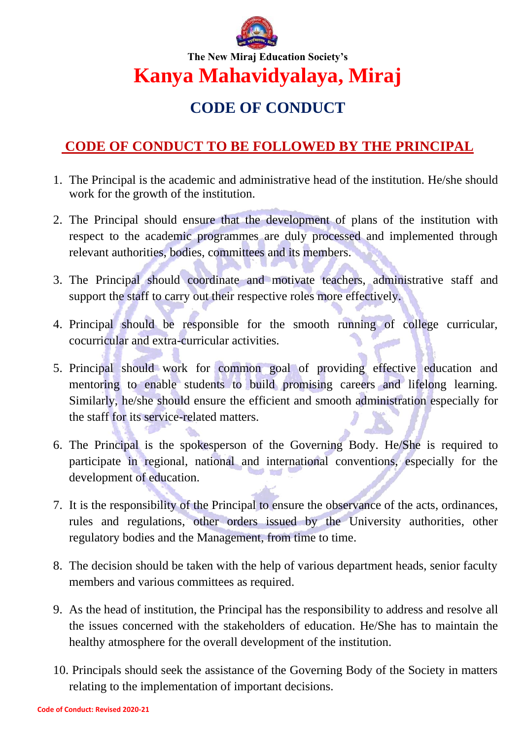

**The New Miraj Education Society's Kanya Mahavidyalaya, Miraj**

# **CODE OF CONDUCT**

## **CODE OF CONDUCT TO BE FOLLOWED BY THE PRINCIPAL**

- 1. The Principal is the academic and administrative head of the institution. He/she should work for the growth of the institution.
- 2. The Principal should ensure that the development of plans of the institution with respect to the academic programmes are duly processed and implemented through relevant authorities, bodies, committees and its members.
- 3. The Principal should coordinate and motivate teachers, administrative staff and support the staff to carry out their respective roles more effectively.
- 4. Principal should be responsible for the smooth running of college curricular, cocurricular and extra-curricular activities.
- 5. Principal should work for common goal of providing effective education and mentoring to enable students to build promising careers and lifelong learning. Similarly, he/she should ensure the efficient and smooth administration especially for the staff for its service-related matters.
- 6. The Principal is the spokesperson of the Governing Body. He/She is required to participate in regional, national and international conventions, especially for the development of education.
- 7. It is the responsibility of the Principal to ensure the observance of the acts, ordinances, rules and regulations, other orders issued by the University authorities, other regulatory bodies and the Management, from time to time.
- 8. The decision should be taken with the help of various department heads, senior faculty members and various committees as required.
- 9. As the head of institution, the Principal has the responsibility to address and resolve all the issues concerned with the stakeholders of education. He/She has to maintain the healthy atmosphere for the overall development of the institution.
- 10. Principals should seek the assistance of the Governing Body of the Society in matters relating to the implementation of important decisions.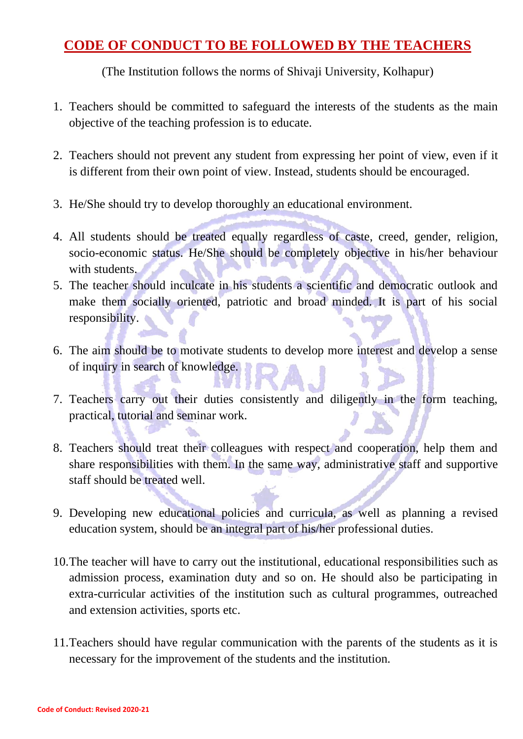### **CODE OF CONDUCT TO BE FOLLOWED BY THE TEACHERS**

(The Institution follows the norms of Shivaji University, Kolhapur)

- 1. Teachers should be committed to safeguard the interests of the students as the main objective of the teaching profession is to educate.
- 2. Teachers should not prevent any student from expressing her point of view, even if it is different from their own point of view. Instead, students should be encouraged.
- 3. He/She should try to develop thoroughly an educational environment.
- 4. All students should be treated equally regardless of caste, creed, gender, religion, socio-economic status. He/She should be completely objective in his/her behaviour with students.
- 5. The teacher should inculcate in his students a scientific and democratic outlook and make them socially oriented, patriotic and broad minded. It is part of his social responsibility.
- 6. The aim should be to motivate students to develop more interest and develop a sense of inquiry in search of knowledge.
- 7. Teachers carry out their duties consistently and diligently in the form teaching, practical, tutorial and seminar work.
- 8. Teachers should treat their colleagues with respect and cooperation, help them and share responsibilities with them. In the same way, administrative staff and supportive staff should be treated well.
- 9. Developing new educational policies and curricula, as well as planning a revised education system, should be an integral part of his/her professional duties.
- 10.The teacher will have to carry out the institutional, educational responsibilities such as admission process, examination duty and so on. He should also be participating in extra-curricular activities of the institution such as cultural programmes, outreached and extension activities, sports etc.
- 11.Teachers should have regular communication with the parents of the students as it is necessary for the improvement of the students and the institution.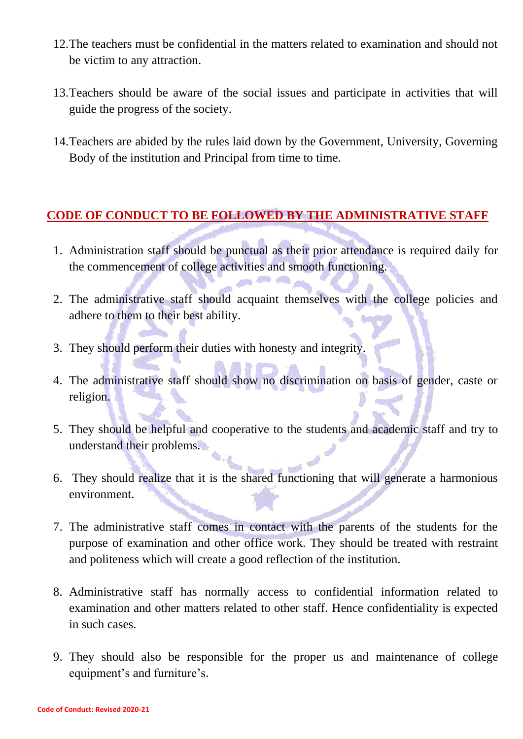- 12.The teachers must be confidential in the matters related to examination and should not be victim to any attraction.
- 13.Teachers should be aware of the social issues and participate in activities that will guide the progress of the society.
- 14.Teachers are abided by the rules laid down by the Government, University, Governing Body of the institution and Principal from time to time.

#### **CODE OF CONDUCT TO BE FOLLOWED BY THE ADMINISTRATIVE STAFF**

- 1. Administration staff should be punctual as their prior attendance is required daily for the commencement of college activities and smooth functioning.
- 2. The administrative staff should acquaint themselves with the college policies and adhere to them to their best ability.
- 3. They should perform their duties with honesty and integrity.
- 4. The administrative staff should show no discrimination on basis of gender, caste or religion.
- 5. They should be helpful and cooperative to the students and academic staff and try to understand their problems.
- 6. They should realize that it is the shared functioning that will generate a harmonious environment.
- 7. The administrative staff comes in contact with the parents of the students for the purpose of examination and other office work. They should be treated with restraint and politeness which will create a good reflection of the institution.
- 8. Administrative staff has normally access to confidential information related to examination and other matters related to other staff. Hence confidentiality is expected in such cases.
- 9. They should also be responsible for the proper us and maintenance of college equipment's and furniture's.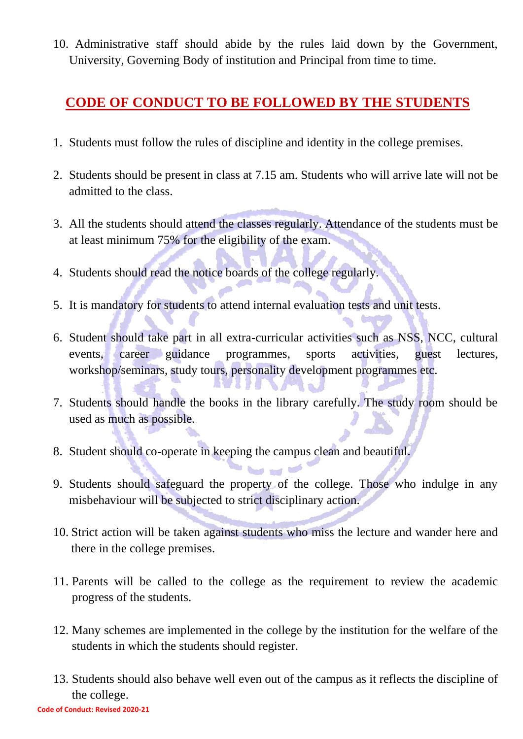10. Administrative staff should abide by the rules laid down by the Government, University, Governing Body of institution and Principal from time to time.

### **CODE OF CONDUCT TO BE FOLLOWED BY THE STUDENTS**

- 1. Students must follow the rules of discipline and identity in the college premises.
- 2. Students should be present in class at 7.15 am. Students who will arrive late will not be admitted to the class.
- 3. All the students should attend the classes regularly. Attendance of the students must be at least minimum 75% for the eligibility of the exam.
- 4. Students should read the notice boards of the college regularly.
- 5. It is mandatory for students to attend internal evaluation tests and unit tests.
- 6. Student should take part in all extra-curricular activities such as NSS, NCC, cultural events, career guidance programmes, sports activities, guest lectures, workshop/seminars, study tours, personality development programmes etc.
- 7. Students should handle the books in the library carefully. The study room should be used as much as possible.

**TALL** 

**TIME** 

8. Student should co-operate in keeping the campus clean and beautiful.

2 to 21 12 14

9. Students should safeguard the property of the college. Those who indulge in any misbehaviour will be subjected to strict disciplinary action.

**Send and MOS** 

- 10. Strict action will be taken against students who miss the lecture and wander here and there in the college premises.
- 11. Parents will be called to the college as the requirement to review the academic progress of the students.
- 12. Many schemes are implemented in the college by the institution for the welfare of the students in which the students should register.
- 13. Students should also behave well even out of the campus as it reflects the discipline of the college.